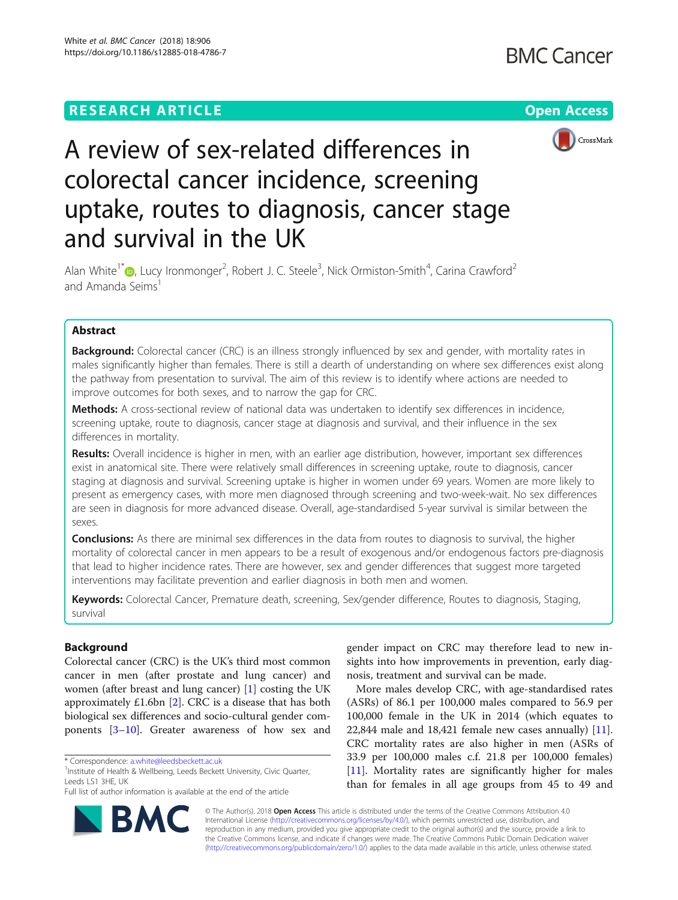# **RESEARCH ARTICLE Example 2018 12:30 THE Open Access**





# A review of sex-related differences in colorectal cancer incidence, screening uptake, routes to diagnosis, cancer stage and survival in the UK

Alan White<sup>1[\\*](http://orcid.org/0000-0001-8054-7783)</sup> D, Lucy Ironmonger<sup>2</sup>, Robert J. C. Steele<sup>3</sup>, Nick Ormiston-Smith<sup>4</sup>, Carina Crawford<sup>2</sup> and Amanda Seims

# Abstract

**Background:** Colorectal cancer (CRC) is an illness strongly influenced by sex and gender, with mortality rates in males significantly higher than females. There is still a dearth of understanding on where sex differences exist along the pathway from presentation to survival. The aim of this review is to identify where actions are needed to improve outcomes for both sexes, and to narrow the gap for CRC.

Methods: A cross-sectional review of national data was undertaken to identify sex differences in incidence, screening uptake, route to diagnosis, cancer stage at diagnosis and survival, and their influence in the sex differences in mortality.

Results: Overall incidence is higher in men, with an earlier age distribution, however, important sex differences exist in anatomical site. There were relatively small differences in screening uptake, route to diagnosis, cancer staging at diagnosis and survival. Screening uptake is higher in women under 69 years. Women are more likely to present as emergency cases, with more men diagnosed through screening and two-week-wait. No sex differences are seen in diagnosis for more advanced disease. Overall, age-standardised 5-year survival is similar between the sexes.

**Conclusions:** As there are minimal sex differences in the data from routes to diagnosis to survival, the higher mortality of colorectal cancer in men appears to be a result of exogenous and/or endogenous factors pre-diagnosis that lead to higher incidence rates. There are however, sex and gender differences that suggest more targeted interventions may facilitate prevention and earlier diagnosis in both men and women.

Keywords: Colorectal Cancer, Premature death, screening, Sex/gender difference, Routes to diagnosis, Staging, survival

# Background

Colorectal cancer (CRC) is the UK's third most common cancer in men (after prostate and lung cancer) and women (after breast and lung cancer) [[1](#page-8-0)] costing the UK approximately £1.6bn [[2](#page-8-0)]. CRC is a disease that has both biological sex differences and socio-cultural gender components [\[3](#page-8-0)–[10\]](#page-8-0). Greater awareness of how sex and

<sup>1</sup>Institute of Health & Wellbeing, Leeds Beckett University, Civic Quarter, Leeds LS1 3HE, UK

Full list of author information is available at the end of the article



gender impact on CRC may therefore lead to new insights into how improvements in prevention, early diagnosis, treatment and survival can be made.

More males develop CRC, with age-standardised rates (ASRs) of 86.1 per 100,000 males compared to 56.9 per 100,000 female in the UK in 2014 (which equates to 22,844 male and 18,421 female new cases annually) [\[11](#page-8-0)]. CRC mortality rates are also higher in men (ASRs of 33.9 per 100,000 males c.f. 21.8 per 100,000 females) [[11\]](#page-8-0). Mortality rates are significantly higher for males than for females in all age groups from 45 to 49 and

© The Author(s). 2018 Open Access This article is distributed under the terms of the Creative Commons Attribution 4.0 International License [\(http://creativecommons.org/licenses/by/4.0/](http://creativecommons.org/licenses/by/4.0/)), which permits unrestricted use, distribution, and reproduction in any medium, provided you give appropriate credit to the original author(s) and the source, provide a link to the Creative Commons license, and indicate if changes were made. The Creative Commons Public Domain Dedication waiver [\(http://creativecommons.org/publicdomain/zero/1.0/](http://creativecommons.org/publicdomain/zero/1.0/)) applies to the data made available in this article, unless otherwise stated.

<sup>\*</sup> Correspondence: [a.white@leedsbeckett.ac.uk](mailto:a.white@leedsbeckett.ac.uk) <sup>1</sup>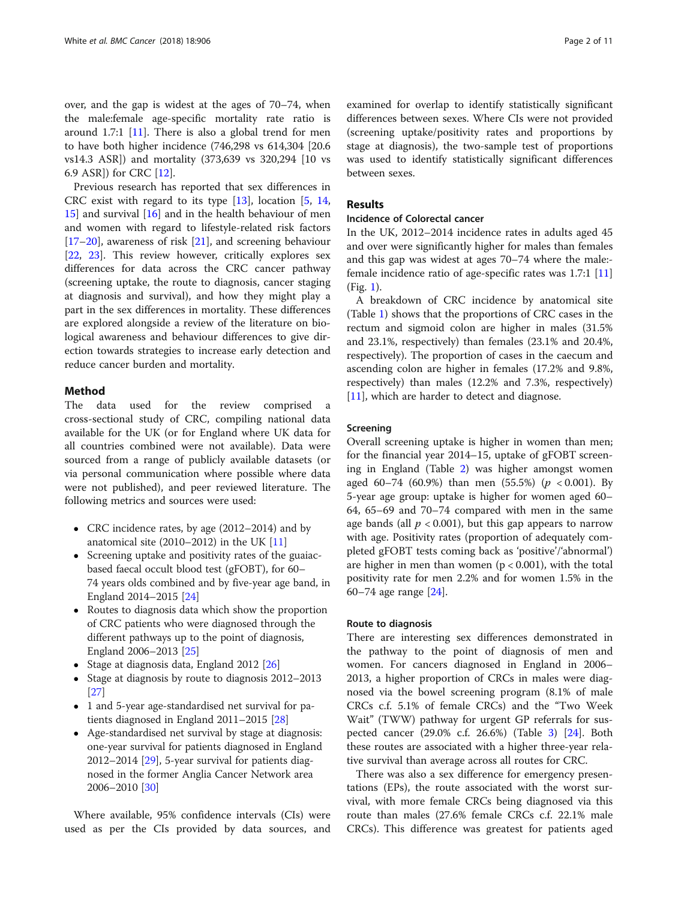over, and the gap is widest at the ages of 70–74, when the male:female age-specific mortality rate ratio is around 1.7:1 [\[11\]](#page-8-0). There is also a global trend for men to have both higher incidence (746,298 vs 614,304 [20.6 vs14.3 ASR]) and mortality (373,639 vs 320,294 [10 vs 6.9 ASR]) for CRC [[12\]](#page-8-0).

Previous research has reported that sex differences in CRC exist with regard to its type [\[13](#page-8-0)], location [\[5](#page-8-0), [14](#page-8-0), [15\]](#page-8-0) and survival [[16\]](#page-8-0) and in the health behaviour of men and women with regard to lifestyle-related risk factors  $[17–20]$  $[17–20]$  $[17–20]$  $[17–20]$  $[17–20]$ , awareness of risk  $[21]$  $[21]$ , and screening behaviour [[22,](#page-8-0) [23\]](#page-8-0). This review however, critically explores sex differences for data across the CRC cancer pathway (screening uptake, the route to diagnosis, cancer staging at diagnosis and survival), and how they might play a part in the sex differences in mortality. These differences are explored alongside a review of the literature on biological awareness and behaviour differences to give direction towards strategies to increase early detection and reduce cancer burden and mortality.

# Method

The data used for the review comprised a cross-sectional study of CRC, compiling national data available for the UK (or for England where UK data for all countries combined were not available). Data were sourced from a range of publicly available datasets (or via personal communication where possible where data were not published), and peer reviewed literature. The following metrics and sources were used:

- CRC incidence rates, by age (2012–2014) and by anatomical site (2010–2012) in the UK [[11](#page-8-0)]
- Screening uptake and positivity rates of the guaiacbased faecal occult blood test (gFOBT), for 60– 74 years olds combined and by five-year age band, in England 2014–2015 [[24](#page-8-0)]
- Routes to diagnosis data which show the proportion of CRC patients who were diagnosed through the different pathways up to the point of diagnosis, England 2006–2013 [[25](#page-8-0)]
- Stage at diagnosis data, England 2012  $[26]$  $[26]$  $[26]$
- Stage at diagnosis by route to diagnosis 2012–2013 [[27](#page-8-0)]
- 1 and 5-year age-standardised net survival for patients diagnosed in England 2011–2015 [\[28\]](#page-8-0)
- Age-standardised net survival by stage at diagnosis: one-year survival for patients diagnosed in England 2012–2014  $[29]$ , 5-year survival for patients diagnosed in the former Anglia Cancer Network area 2006–2010 [\[30\]](#page-8-0)

Where available, 95% confidence intervals (CIs) were used as per the CIs provided by data sources, and

examined for overlap to identify statistically significant differences between sexes. Where CIs were not provided (screening uptake/positivity rates and proportions by stage at diagnosis), the two-sample test of proportions was used to identify statistically significant differences between sexes.

# Results

#### Incidence of Colorectal cancer

In the UK, 2012–2014 incidence rates in adults aged 45 and over were significantly higher for males than females and this gap was widest at ages 70–74 where the male: female incidence ratio of age-specific rates was 1.7:1 [[11](#page-8-0)] (Fig. [1](#page-2-0)).

A breakdown of CRC incidence by anatomical site (Table [1\)](#page-2-0) shows that the proportions of CRC cases in the rectum and sigmoid colon are higher in males (31.5% and 23.1%, respectively) than females (23.1% and 20.4%, respectively). The proportion of cases in the caecum and ascending colon are higher in females (17.2% and 9.8%, respectively) than males (12.2% and 7.3%, respectively) [[11\]](#page-8-0), which are harder to detect and diagnose.

#### Screening

Overall screening uptake is higher in women than men; for the financial year 2014–15, uptake of gFOBT screening in England (Table [2](#page-3-0)) was higher amongst women aged 60–74 (60.9%) than men (55.5%) ( $p < 0.001$ ). By 5-year age group: uptake is higher for women aged 60– 64, 65–69 and 70–74 compared with men in the same age bands (all  $p < 0.001$ ), but this gap appears to narrow with age. Positivity rates (proportion of adequately completed gFOBT tests coming back as 'positive'/'abnormal') are higher in men than women  $(p < 0.001)$ , with the total positivity rate for men 2.2% and for women 1.5% in the 60–74 age range [\[24](#page-8-0)].

#### Route to diagnosis

There are interesting sex differences demonstrated in the pathway to the point of diagnosis of men and women. For cancers diagnosed in England in 2006– 2013, a higher proportion of CRCs in males were diagnosed via the bowel screening program (8.1% of male CRCs c.f. 5.1% of female CRCs) and the "Two Week Wait" (TWW) pathway for urgent GP referrals for suspected cancer (29.0% c.f. 26.6%) (Table [3\)](#page-3-0) [[24](#page-8-0)]. Both these routes are associated with a higher three-year relative survival than average across all routes for CRC.

There was also a sex difference for emergency presentations (EPs), the route associated with the worst survival, with more female CRCs being diagnosed via this route than males (27.6% female CRCs c.f. 22.1% male CRCs). This difference was greatest for patients aged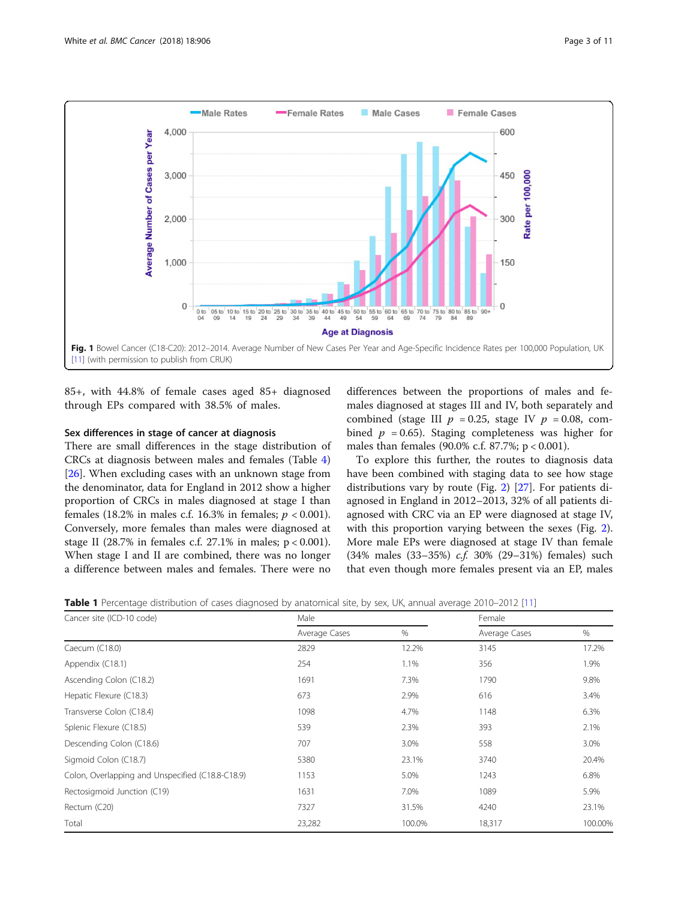<span id="page-2-0"></span>

85+, with 44.8% of female cases aged 85+ diagnosed through EPs compared with 38.5% of males.

# Sex differences in stage of cancer at diagnosis

There are small differences in the stage distribution of CRCs at diagnosis between males and females (Table [4](#page-4-0)) [[26\]](#page-8-0). When excluding cases with an unknown stage from the denominator, data for England in 2012 show a higher proportion of CRCs in males diagnosed at stage I than females (18.2% in males c.f. 16.3% in females;  $p < 0.001$ ). Conversely, more females than males were diagnosed at stage II (28.7% in females c.f. 27.1% in males; p < 0.001). When stage I and II are combined, there was no longer a difference between males and females. There were no

differences between the proportions of males and females diagnosed at stages III and IV, both separately and combined (stage III  $p = 0.25$ , stage IV  $p = 0.08$ , combined  $p = 0.65$ ). Staging completeness was higher for males than females (90.0% c.f. 87.7%; p < 0.001).

To explore this further, the routes to diagnosis data have been combined with staging data to see how stage distributions vary by route (Fig. [2](#page-4-0)) [\[27\]](#page-8-0). For patients diagnosed in England in 2012–2013, 32% of all patients diagnosed with CRC via an EP were diagnosed at stage IV, with this proportion varying between the sexes (Fig. [2](#page-4-0)). More male EPs were diagnosed at stage IV than female (34% males (33–35%) c.f. 30% (29–31%) females) such that even though more females present via an EP, males

| Table 1 Percentage distribution of cases diagnosed by anatomical site, by sex, UK, annual average 2010–2012 [11] |  |  |  |  |  |
|------------------------------------------------------------------------------------------------------------------|--|--|--|--|--|
|                                                                                                                  |  |  |  |  |  |

| Cancer site (ICD-10 code)                        | Male          |        | Female        |         |
|--------------------------------------------------|---------------|--------|---------------|---------|
|                                                  | Average Cases | %      | Average Cases | %       |
| Caecum (C18.0)                                   | 2829          | 12.2%  | 3145          | 17.2%   |
| Appendix (C18.1)                                 | 254           | 1.1%   | 356           | 1.9%    |
| Ascending Colon (C18.2)                          | 1691          | 7.3%   | 1790          | 9.8%    |
| Hepatic Flexure (C18.3)                          | 673           | 2.9%   | 616           | 3.4%    |
| Transverse Colon (C18.4)                         | 1098          | 4.7%   | 1148          | 6.3%    |
| Splenic Flexure (C18.5)                          | 539           | 2.3%   | 393           | 2.1%    |
| Descending Colon (C18.6)                         | 707           | 3.0%   | 558           | 3.0%    |
| Sigmoid Colon (C18.7)                            | 5380          | 23.1%  | 3740          | 20.4%   |
| Colon, Overlapping and Unspecified (C18.8-C18.9) | 1153          | 5.0%   | 1243          | 6.8%    |
| Rectosigmoid Junction (C19)                      | 1631          | 7.0%   | 1089          | 5.9%    |
| Rectum (C20)                                     | 7327          | 31.5%  | 4240          | 23.1%   |
| Total                                            | 23,282        | 100.0% | 18,317        | 100.00% |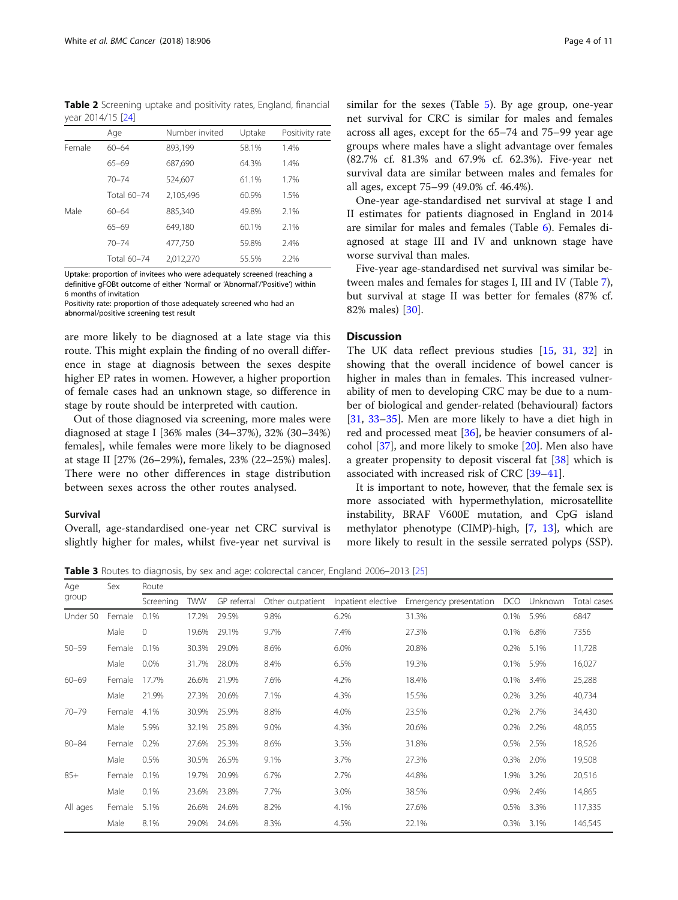<span id="page-3-0"></span>Table 2 Screening uptake and positivity rates, England, financial year 2014/15 [\[24\]](#page-8-0)

|        | Age         | Number invited | Uptake | Positivity rate |
|--------|-------------|----------------|--------|-----------------|
| Female | $60 - 64$   | 893,199        | 58.1%  | 1.4%            |
|        | $65 - 69$   | 687,690        | 64.3%  | 1.4%            |
|        | $70 - 74$   | 524,607        | 61.1%  | 1.7%            |
|        | Total 60-74 | 2,105,496      | 60.9%  | 1.5%            |
| Male   | $60 - 64$   | 885,340        | 49.8%  | 2.1%            |
|        | $65 - 69$   | 649.180        | 60.1%  | 2.1%            |
|        | $70 - 74$   | 477.750        | 59.8%  | 2.4%            |
|        | Total 60-74 | 2,012,270      | 55.5%  | 2.2%            |

Uptake: proportion of invitees who were adequately screened (reaching a definitive gFOBt outcome of either 'Normal' or 'Abnormal'/'Positive') within 6 months of invitation

Positivity rate: proportion of those adequately screened who had an abnormal/positive screening test result

are more likely to be diagnosed at a late stage via this route. This might explain the finding of no overall difference in stage at diagnosis between the sexes despite higher EP rates in women. However, a higher proportion of female cases had an unknown stage, so difference in stage by route should be interpreted with caution.

Out of those diagnosed via screening, more males were diagnosed at stage I [36% males (34–37%), 32% (30–34%) females], while females were more likely to be diagnosed at stage II [27% (26–29%), females, 23% (22–25%) males]. There were no other differences in stage distribution between sexes across the other routes analysed.

# Survival

Overall, age-standardised one-year net CRC survival is slightly higher for males, whilst five-year net survival is similar for the sexes (Table [5](#page-5-0)). By age group, one-year net survival for CRC is similar for males and females across all ages, except for the 65–74 and 75–99 year age groups where males have a slight advantage over females (82.7% cf. 81.3% and 67.9% cf. 62.3%). Five-year net survival data are similar between males and females for all ages, except 75–99 (49.0% cf. 46.4%).

One-year age-standardised net survival at stage I and II estimates for patients diagnosed in England in 2014 are similar for males and females (Table [6\)](#page-5-0). Females diagnosed at stage III and IV and unknown stage have worse survival than males.

Five-year age-standardised net survival was similar between males and females for stages I, III and IV (Table [7](#page-6-0)), but survival at stage II was better for females (87% cf. 82% males) [[30\]](#page-8-0).

# **Discussion**

The UK data reflect previous studies [[15,](#page-8-0) [31](#page-8-0), [32\]](#page-8-0) in showing that the overall incidence of bowel cancer is higher in males than in females. This increased vulnerability of men to developing CRC may be due to a number of biological and gender-related (behavioural) factors [[31,](#page-8-0) [33](#page-8-0)–[35](#page-8-0)]. Men are more likely to have a diet high in red and processed meat [[36\]](#page-8-0), be heavier consumers of alcohol [\[37](#page-8-0)], and more likely to smoke [\[20](#page-8-0)]. Men also have a greater propensity to deposit visceral fat [[38](#page-8-0)] which is associated with increased risk of CRC [\[39](#page-8-0)–[41\]](#page-8-0).

It is important to note, however, that the female sex is more associated with hypermethylation, microsatellite instability, BRAF V600E mutation, and CpG island methylator phenotype (CIMP)-high, [\[7](#page-8-0), [13](#page-8-0)], which are more likely to result in the sessile serrated polyps (SSP).

Table 3 Routes to diagnosis, by sex and age: colorectal cancer, England 2006–2013 [[25](#page-8-0)]

| Age       | Sex    | Route     |            |             |                  |                    |                        |            |         |             |  |  |
|-----------|--------|-----------|------------|-------------|------------------|--------------------|------------------------|------------|---------|-------------|--|--|
| group     |        | Screening | <b>TWW</b> | GP referral | Other outpatient | Inpatient elective | Emergency presentation | <b>DCO</b> | Unknown | Total cases |  |  |
| Under 50  | Female | 0.1%      | 17.2%      | 29.5%       | 9.8%             | 6.2%               | 31.3%                  | 0.1%       | 5.9%    | 6847        |  |  |
|           | Male   | 0         | 19.6%      | 29.1%       | 9.7%             | 7.4%               | 27.3%                  | 0.1%       | 6.8%    | 7356        |  |  |
| $50 - 59$ | Female | 0.1%      | 30.3%      | 29.0%       | 8.6%             | 6.0%               | 20.8%                  | 0.2%       | 5.1%    | 11,728      |  |  |
|           | Male   | 0.0%      | 31.7%      | 28.0%       | 8.4%             | 6.5%               | 19.3%                  | 0.1%       | 5.9%    | 16,027      |  |  |
| $60 - 69$ | Female | 17.7%     | 26.6%      | 21.9%       | 7.6%             | 4.2%               | 18.4%                  | 0.1%       | 3.4%    | 25,288      |  |  |
|           | Male   | 21.9%     | 27.3%      | 20.6%       | 7.1%             | 4.3%               | 15.5%                  | 0.2%       | 3.2%    | 40,734      |  |  |
| $70 - 79$ | Female | 4.1%      | 30.9%      | 25.9%       | 8.8%             | 4.0%               | 23.5%                  | 0.2%       | 2.7%    | 34,430      |  |  |
|           | Male   | 5.9%      | 32.1%      | 25.8%       | 9.0%             | 4.3%               | 20.6%                  | 0.2%       | 2.2%    | 48,055      |  |  |
| $80 - 84$ | Female | 0.2%      | 27.6%      | 25.3%       | 8.6%             | 3.5%               | 31.8%                  | 0.5%       | 2.5%    | 18,526      |  |  |
|           | Male   | 0.5%      | 30.5%      | 26.5%       | 9.1%             | 3.7%               | 27.3%                  | 0.3%       | 2.0%    | 19,508      |  |  |
| $85+$     | Female | 0.1%      | 19.7%      | 20.9%       | 6.7%             | 2.7%               | 44.8%                  | 1.9%       | 3.2%    | 20,516      |  |  |
|           | Male   | 0.1%      | 23.6%      | 23.8%       | 7.7%             | 3.0%               | 38.5%                  | 0.9%       | 2.4%    | 14,865      |  |  |
| All ages  | Female | 5.1%      | 26.6%      | 24.6%       | 8.2%             | 4.1%               | 27.6%                  | 0.5%       | 3.3%    | 117,335     |  |  |
|           | Male   | 8.1%      | 29.0%      | 24.6%       | 8.3%             | 4.5%               | 22.1%                  | 0.3%       | 3.1%    | 146,545     |  |  |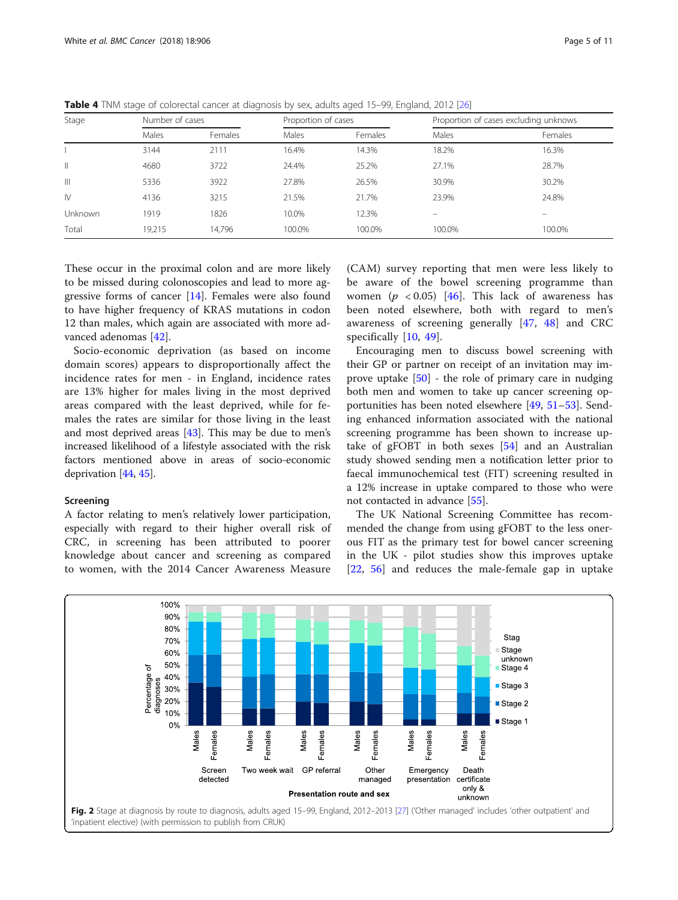<span id="page-4-0"></span>

|  |  |  |  | Table 4 TNM stage of colorectal cancer at diagnosis by sex, adults aged 15-99, England, 2012 [26] |
|--|--|--|--|---------------------------------------------------------------------------------------------------|
|--|--|--|--|---------------------------------------------------------------------------------------------------|

| Stage         | Number of cases |         | Proportion of cases |         | Proportion of cases excluding unknows |                          |  |
|---------------|-----------------|---------|---------------------|---------|---------------------------------------|--------------------------|--|
|               | Males           | Females | Males               | Females | Males                                 | Females                  |  |
|               | 3144            | 2111    | 16.4%               | 14.3%   | 18.2%                                 | 16.3%                    |  |
| Ш             | 4680            | 3722    | 24.4%               | 25.2%   | 27.1%                                 | 28.7%                    |  |
| $\mathbb{H}$  | 5336            | 3922    | 27.8%               | 26.5%   | 30.9%                                 | 30.2%                    |  |
| $\mathsf{IV}$ | 4136            | 3215    | 21.5%               | 21.7%   | 23.9%                                 | 24.8%                    |  |
| Unknown       | 1919            | 1826    | 10.0%               | 12.3%   | -                                     | $\overline{\phantom{0}}$ |  |
| Total         | 19,215          | 14,796  | 100.0%              | 100.0%  | 100.0%                                | 100.0%                   |  |

These occur in the proximal colon and are more likely to be missed during colonoscopies and lead to more aggressive forms of cancer [[14\]](#page-8-0). Females were also found to have higher frequency of KRAS mutations in codon 12 than males, which again are associated with more advanced adenomas [\[42\]](#page-8-0).

Socio-economic deprivation (as based on income domain scores) appears to disproportionally affect the incidence rates for men - in England, incidence rates are 13% higher for males living in the most deprived areas compared with the least deprived, while for females the rates are similar for those living in the least and most deprived areas [\[43\]](#page-8-0). This may be due to men's increased likelihood of a lifestyle associated with the risk factors mentioned above in areas of socio-economic deprivation [[44](#page-8-0), [45\]](#page-8-0).

#### Screening

A factor relating to men's relatively lower participation, especially with regard to their higher overall risk of CRC, in screening has been attributed to poorer knowledge about cancer and screening as compared to women, with the 2014 Cancer Awareness Measure

(CAM) survey reporting that men were less likely to be aware of the bowel screening programme than women ( $p < 0.05$ ) [\[46](#page-8-0)]. This lack of awareness has been noted elsewhere, both with regard to men's awareness of screening generally [[47,](#page-8-0) [48](#page-9-0)] and CRC specifically [\[10](#page-8-0), [49](#page-9-0)].

Encouraging men to discuss bowel screening with their GP or partner on receipt of an invitation may improve uptake [[50](#page-9-0)] - the role of primary care in nudging both men and women to take up cancer screening opportunities has been noted elsewhere [\[49](#page-9-0), [51](#page-9-0)–[53](#page-9-0)]. Sending enhanced information associated with the national screening programme has been shown to increase uptake of gFOBT in both sexes [\[54](#page-9-0)] and an Australian study showed sending men a notification letter prior to faecal immunochemical test (FIT) screening resulted in a 12% increase in uptake compared to those who were not contacted in advance [[55\]](#page-9-0).

The UK National Screening Committee has recommended the change from using gFOBT to the less onerous FIT as the primary test for bowel cancer screening in the UK - pilot studies show this improves uptake [[22,](#page-8-0) [56\]](#page-9-0) and reduces the male-female gap in uptake

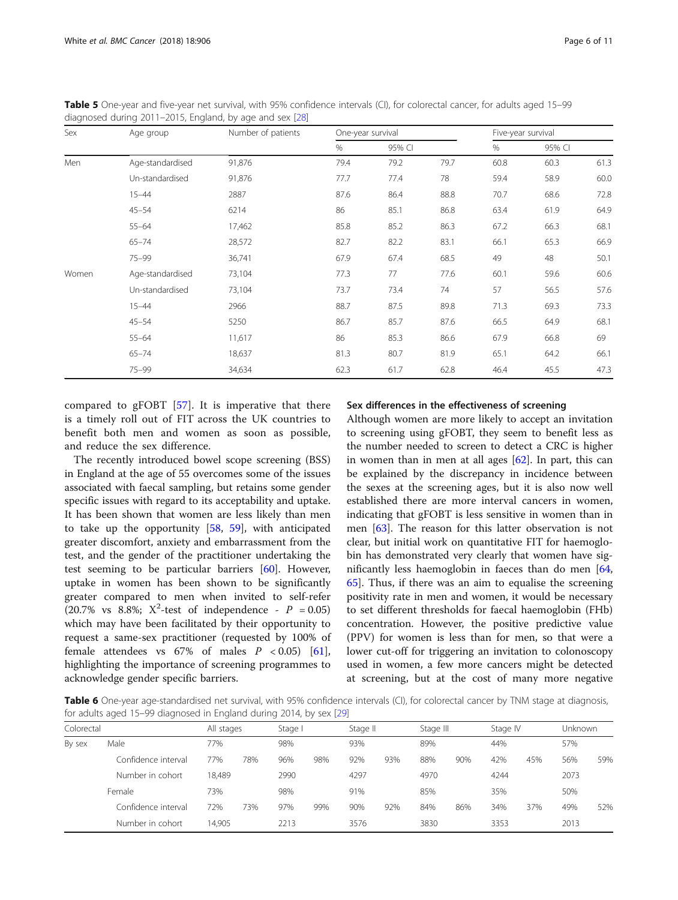<span id="page-5-0"></span>Table 5 One-year and five-year net survival, with 95% confidence intervals (CI), for colorectal cancer, for adults aged 15-99 diagnosed during 2011–2015, England, by age and sex [\[28](#page-8-0)]

| Sex<br>Men | Age group        | Number of patients | One-year survival |        |      | Five-year survival |        |      |
|------------|------------------|--------------------|-------------------|--------|------|--------------------|--------|------|
|            |                  |                    | $\%$              | 95% CI |      | %                  | 95% CI |      |
|            | Age-standardised | 91,876             | 79.4              | 79.2   | 79.7 | 60.8               | 60.3   | 61.3 |
|            | Un-standardised  | 91,876             | 77.7              | 77.4   | 78   | 59.4               | 58.9   | 60.0 |
|            | $15 - 44$        | 2887               | 87.6              | 86.4   | 88.8 | 70.7               | 68.6   | 72.8 |
|            | $45 - 54$        | 6214               | 86                | 85.1   | 86.8 | 63.4               | 61.9   | 64.9 |
|            | $55 - 64$        | 17,462             | 85.8              | 85.2   | 86.3 | 67.2               | 66.3   | 68.1 |
|            | $65 - 74$        | 28,572             | 82.7              | 82.2   | 83.1 | 66.1               | 65.3   | 66.9 |
|            | $75 - 99$        | 36,741             | 67.9              | 67.4   | 68.5 | 49                 | 48     | 50.1 |
| Women      | Age-standardised | 73,104             | 77.3              | 77     | 77.6 | 60.1               | 59.6   | 60.6 |
|            | Un-standardised  | 73,104             | 73.7              | 73.4   | 74   | 57                 | 56.5   | 57.6 |
|            | $15 - 44$        | 2966               | 88.7              | 87.5   | 89.8 | 71.3               | 69.3   | 73.3 |
|            | $45 - 54$        | 5250               | 86.7              | 85.7   | 87.6 | 66.5               | 64.9   | 68.1 |
|            | $55 - 64$        | 11,617             | 86                | 85.3   | 86.6 | 67.9               | 66.8   | 69   |
|            | $65 - 74$        | 18,637             | 81.3              | 80.7   | 81.9 | 65.1               | 64.2   | 66.1 |
|            | $75 - 99$        | 34,634             | 62.3              | 61.7   | 62.8 | 46.4               | 45.5   | 47.3 |

compared to gFOBT [[57](#page-9-0)]. It is imperative that there is a timely roll out of FIT across the UK countries to benefit both men and women as soon as possible, and reduce the sex difference.

The recently introduced bowel scope screening (BSS) in England at the age of 55 overcomes some of the issues associated with faecal sampling, but retains some gender specific issues with regard to its acceptability and uptake. It has been shown that women are less likely than men to take up the opportunity [\[58](#page-9-0), [59](#page-9-0)], with anticipated greater discomfort, anxiety and embarrassment from the test, and the gender of the practitioner undertaking the test seeming to be particular barriers [[60](#page-9-0)]. However, uptake in women has been shown to be significantly greater compared to men when invited to self-refer (20.7% vs 8.8%;  $X^2$ -test of independence -  $P = 0.05$ ) which may have been facilitated by their opportunity to request a same-sex practitioner (requested by 100% of female attendees vs  $67\%$  of males  $P < 0.05$  [\[61](#page-9-0)], highlighting the importance of screening programmes to acknowledge gender specific barriers.

# Sex differences in the effectiveness of screening

Although women are more likely to accept an invitation to screening using gFOBT, they seem to benefit less as the number needed to screen to detect a CRC is higher in women than in men at all ages [[62\]](#page-9-0). In part, this can be explained by the discrepancy in incidence between the sexes at the screening ages, but it is also now well established there are more interval cancers in women, indicating that gFOBT is less sensitive in women than in men [\[63](#page-9-0)]. The reason for this latter observation is not clear, but initial work on quantitative FIT for haemoglobin has demonstrated very clearly that women have significantly less haemoglobin in faeces than do men [[64](#page-9-0), [65\]](#page-9-0). Thus, if there was an aim to equalise the screening positivity rate in men and women, it would be necessary to set different thresholds for faecal haemoglobin (FHb) concentration. However, the positive predictive value (PPV) for women is less than for men, so that were a lower cut-off for triggering an invitation to colonoscopy used in women, a few more cancers might be detected at screening, but at the cost of many more negative

Table 6 One-year age-standardised net survival, with 95% confidence intervals (CI), for colorectal cancer by TNM stage at diagnosis, for adults aged 15–99 diagnosed in England during 2014, by sex [\[29\]](#page-8-0)

| Colorectal |                     | All stages |     | Stage I |     | Stage II |     | Stage III |     | Stage IV |     | Unknown |     |  |
|------------|---------------------|------------|-----|---------|-----|----------|-----|-----------|-----|----------|-----|---------|-----|--|
| By sex     | Male                | 77%        |     |         | 98% |          | 93% |           | 89% |          | 44% |         | 57% |  |
|            | Confidence interval | 77%        | 78% | 96%     | 98% | 92%      | 93% | 88%       | 90% | 42%      | 45% | 56%     | 59% |  |
|            | Number in cohort    | 18,489     |     | 2990    |     | 4297     |     | 4970      |     | 4244     |     | 2073    |     |  |
|            | Female              | 73%        |     | 98%     |     | 91%      |     | 85%       |     | 35%      |     | 50%     |     |  |
|            | Confidence interval | 72%        | 73% | 97%     | 99% | 90%      | 92% | 84%       | 86% | 34%      | 37% | 49%     | 52% |  |
|            | Number in cohort    | 14.905     |     | 2213    |     | 3576     |     | 3830      |     | 3353     |     | 2013    |     |  |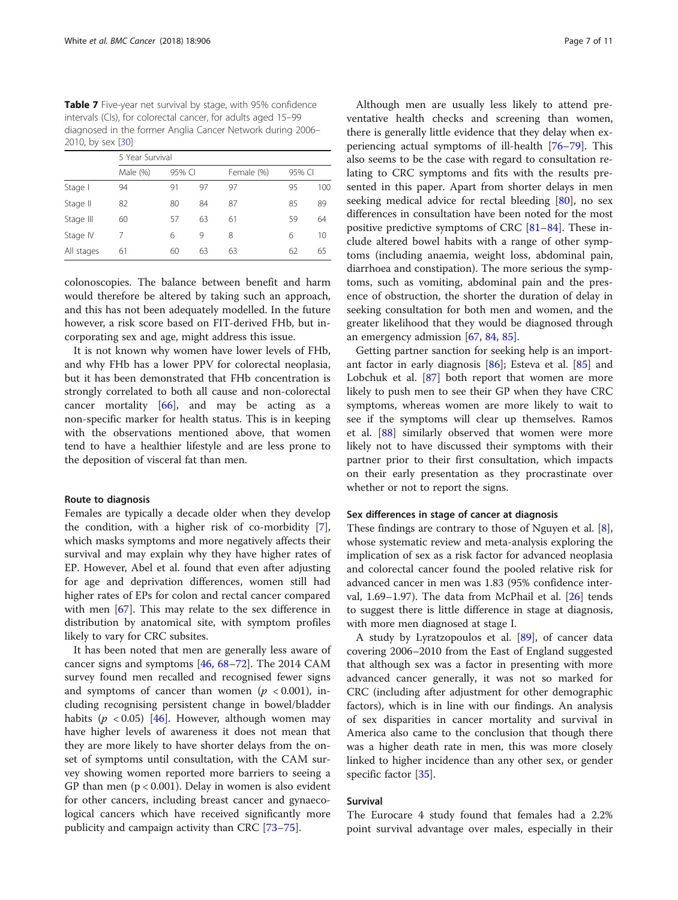<span id="page-6-0"></span>Table 7 Five-year net survival by stage, with 95% confidence intervals (CIs), for colorectal cancer, for adults aged 15–99 diagnosed in the former Anglia Cancer Network during 2006– 2010, by sex [\[30\]](#page-8-0)

|            | 5 Year Survival |        |    |            |        |     |  |  |  |  |  |
|------------|-----------------|--------|----|------------|--------|-----|--|--|--|--|--|
|            | Male (%)        | 95% CI |    | Female (%) | 95% CI |     |  |  |  |  |  |
| Stage I    | 94              | 91     | 97 | 97         | 95     | 100 |  |  |  |  |  |
| Stage II   | 82              | 80     | 84 | 87         | 85     | 89  |  |  |  |  |  |
| Stage III  | 60              | 57     | 63 | 61         | 59     | 64  |  |  |  |  |  |
| Stage IV   | 7               | 6      | 9  | 8          | 6      | 10  |  |  |  |  |  |
| All stages | 61              | 60     | 63 | 63         | 62     | 65  |  |  |  |  |  |

colonoscopies. The balance between benefit and harm would therefore be altered by taking such an approach, and this has not been adequately modelled. In the future however, a risk score based on FIT-derived FHb, but incorporating sex and age, might address this issue.

It is not known why women have lower levels of FHb, and why FHb has a lower PPV for colorectal neoplasia, but it has been demonstrated that FHb concentration is strongly correlated to both all cause and non-colorectal cancer mortality  $[66]$  $[66]$ , and may be acting as a non-specific marker for health status. This is in keeping with the observations mentioned above, that women tend to have a healthier lifestyle and are less prone to the deposition of visceral fat than men.

#### Route to diagnosis

Females are typically a decade older when they develop the condition, with a higher risk of co-morbidity [\[7](#page-8-0)], which masks symptoms and more negatively affects their survival and may explain why they have higher rates of EP. However, Abel et al. found that even after adjusting for age and deprivation differences, women still had higher rates of EPs for colon and rectal cancer compared with men [[67](#page-9-0)]. This may relate to the sex difference in distribution by anatomical site, with symptom profiles likely to vary for CRC subsites.

It has been noted that men are generally less aware of cancer signs and symptoms [\[46](#page-8-0), [68](#page-9-0)–[72\]](#page-9-0). The 2014 CAM survey found men recalled and recognised fewer signs and symptoms of cancer than women ( $p < 0.001$ ), including recognising persistent change in bowel/bladder habits ( $p < 0.05$ ) [[46\]](#page-8-0). However, although women may have higher levels of awareness it does not mean that they are more likely to have shorter delays from the onset of symptoms until consultation, with the CAM survey showing women reported more barriers to seeing a GP than men  $(p < 0.001)$ . Delay in women is also evident for other cancers, including breast cancer and gynaecological cancers which have received significantly more publicity and campaign activity than CRC [[73](#page-9-0)–[75](#page-9-0)].

Although men are usually less likely to attend preventative health checks and screening than women, there is generally little evidence that they delay when experiencing actual symptoms of ill-health [[76](#page-9-0)–[79](#page-9-0)]. This also seems to be the case with regard to consultation relating to CRC symptoms and fits with the results presented in this paper. Apart from shorter delays in men seeking medical advice for rectal bleeding [[80\]](#page-9-0), no sex differences in consultation have been noted for the most positive predictive symptoms of CRC [\[81](#page-9-0)–[84\]](#page-9-0). These include altered bowel habits with a range of other symptoms (including anaemia, weight loss, abdominal pain, diarrhoea and constipation). The more serious the symptoms, such as vomiting, abdominal pain and the presence of obstruction, the shorter the duration of delay in seeking consultation for both men and women, and the greater likelihood that they would be diagnosed through an emergency admission [[67](#page-9-0), [84](#page-9-0), [85](#page-9-0)].

Getting partner sanction for seeking help is an important factor in early diagnosis [[86](#page-9-0)]; Esteva et al. [[85](#page-9-0)] and Lobchuk et al. [\[87\]](#page-9-0) both report that women are more likely to push men to see their GP when they have CRC symptoms, whereas women are more likely to wait to see if the symptoms will clear up themselves. Ramos et al. [\[88](#page-9-0)] similarly observed that women were more likely not to have discussed their symptoms with their partner prior to their first consultation, which impacts on their early presentation as they procrastinate over whether or not to report the signs.

#### Sex differences in stage of cancer at diagnosis

These findings are contrary to those of Nguyen et al. [\[8](#page-8-0)], whose systematic review and meta-analysis exploring the implication of sex as a risk factor for advanced neoplasia and colorectal cancer found the pooled relative risk for advanced cancer in men was 1.83 (95% confidence inter-val, 1.69-1.97). The data from McPhail et al. [[26\]](#page-8-0) tends to suggest there is little difference in stage at diagnosis, with more men diagnosed at stage I.

A study by Lyratzopoulos et al. [\[89](#page-9-0)], of cancer data covering 2006–2010 from the East of England suggested that although sex was a factor in presenting with more advanced cancer generally, it was not so marked for CRC (including after adjustment for other demographic factors), which is in line with our findings. An analysis of sex disparities in cancer mortality and survival in America also came to the conclusion that though there was a higher death rate in men, this was more closely linked to higher incidence than any other sex, or gender specific factor [[35](#page-8-0)].

# Survival

The Eurocare 4 study found that females had a 2.2% point survival advantage over males, especially in their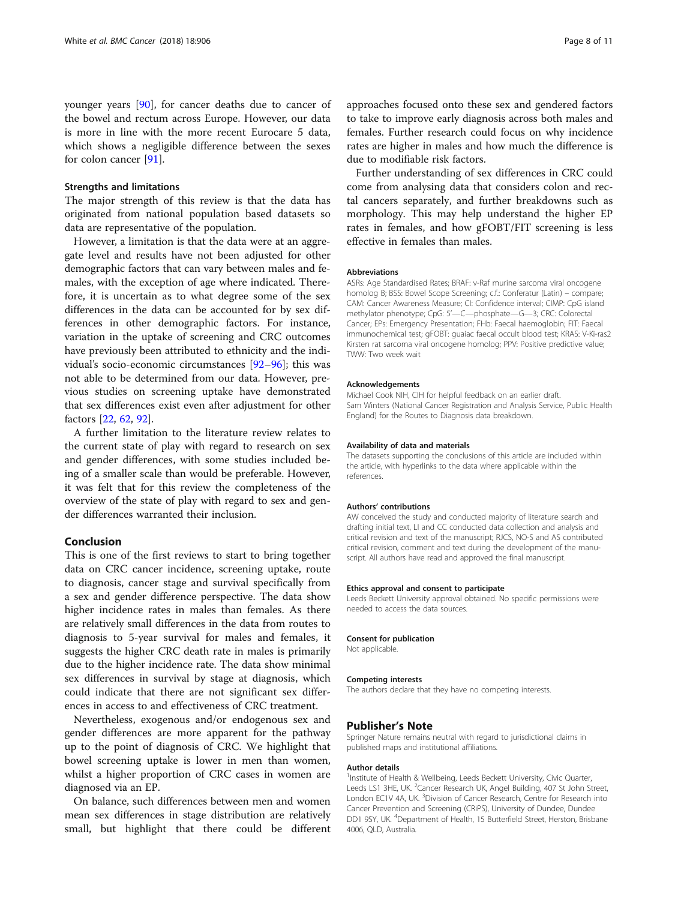#### Strengths and limitations

The major strength of this review is that the data has originated from national population based datasets so data are representative of the population.

However, a limitation is that the data were at an aggregate level and results have not been adjusted for other demographic factors that can vary between males and females, with the exception of age where indicated. Therefore, it is uncertain as to what degree some of the sex differences in the data can be accounted for by sex differences in other demographic factors. For instance, variation in the uptake of screening and CRC outcomes have previously been attributed to ethnicity and the individual's socio-economic circumstances [\[92](#page-10-0)–[96](#page-10-0)]; this was not able to be determined from our data. However, previous studies on screening uptake have demonstrated that sex differences exist even after adjustment for other factors [\[22](#page-8-0), [62,](#page-9-0) [92\]](#page-10-0).

A further limitation to the literature review relates to the current state of play with regard to research on sex and gender differences, with some studies included being of a smaller scale than would be preferable. However, it was felt that for this review the completeness of the overview of the state of play with regard to sex and gender differences warranted their inclusion.

# Conclusion

This is one of the first reviews to start to bring together data on CRC cancer incidence, screening uptake, route to diagnosis, cancer stage and survival specifically from a sex and gender difference perspective. The data show higher incidence rates in males than females. As there are relatively small differences in the data from routes to diagnosis to 5-year survival for males and females, it suggests the higher CRC death rate in males is primarily due to the higher incidence rate. The data show minimal sex differences in survival by stage at diagnosis, which could indicate that there are not significant sex differences in access to and effectiveness of CRC treatment.

Nevertheless, exogenous and/or endogenous sex and gender differences are more apparent for the pathway up to the point of diagnosis of CRC. We highlight that bowel screening uptake is lower in men than women, whilst a higher proportion of CRC cases in women are diagnosed via an EP.

On balance, such differences between men and women mean sex differences in stage distribution are relatively small, but highlight that there could be different approaches focused onto these sex and gendered factors to take to improve early diagnosis across both males and females. Further research could focus on why incidence rates are higher in males and how much the difference is due to modifiable risk factors.

Further understanding of sex differences in CRC could come from analysing data that considers colon and rectal cancers separately, and further breakdowns such as morphology. This may help understand the higher EP rates in females, and how gFOBT/FIT screening is less effective in females than males.

#### Abbreviations

ASRs: Age Standardised Rates; BRAF: v-Raf murine sarcoma viral oncogene homolog B; BSS: Bowel Scope Screening; c.f.: Conferatur (Latin) – compare; CAM: Cancer Awareness Measure; CI: Confidence interval; CIMP: CpG island methylator phenotype; CpG: 5'—C—phosphate—G—3; CRC: Colorectal Cancer; EPs: Emergency Presentation; FHb: Faecal haemoglobin; FIT: Faecal immunochemical test; gFOBT: guaiac faecal occult blood test; KRAS: V-Ki-ras2 Kirsten rat sarcoma viral oncogene homolog; PPV: Positive predictive value; TWW: Two week wait

#### Acknowledgements

Michael Cook NIH, CIH for helpful feedback on an earlier draft. Sam Winters (National Cancer Registration and Analysis Service, Public Health England) for the Routes to Diagnosis data breakdown.

#### Availability of data and materials

The datasets supporting the conclusions of this article are included within the article, with hyperlinks to the data where applicable within the references.

#### Authors' contributions

AW conceived the study and conducted majority of literature search and drafting initial text, LI and CC conducted data collection and analysis and critical revision and text of the manuscript; RJCS, NO-S and AS contributed critical revision, comment and text during the development of the manuscript. All authors have read and approved the final manuscript.

#### Ethics approval and consent to participate

Leeds Beckett University approval obtained. No specific permissions were needed to access the data sources.

#### Consent for publication

Not applicable.

#### Competing interests

The authors declare that they have no competing interests.

### Publisher's Note

Springer Nature remains neutral with regard to jurisdictional claims in published maps and institutional affiliations.

#### Author details

<sup>1</sup>Institute of Health & Wellbeing, Leeds Beckett University, Civic Quarter, Leeds LS1 3HE, UK. <sup>2</sup> Cancer Research UK, Angel Building, 407 St John Street, London EC1V 4A, UK.<sup>3</sup> Division of Cancer Research, Centre for Research into Cancer Prevention and Screening (CRiPS), University of Dundee, Dundee DD1 9SY, UK. <sup>4</sup>Department of Health, 15 Butterfield Street, Herston, Brisbane 4006, QLD, Australia.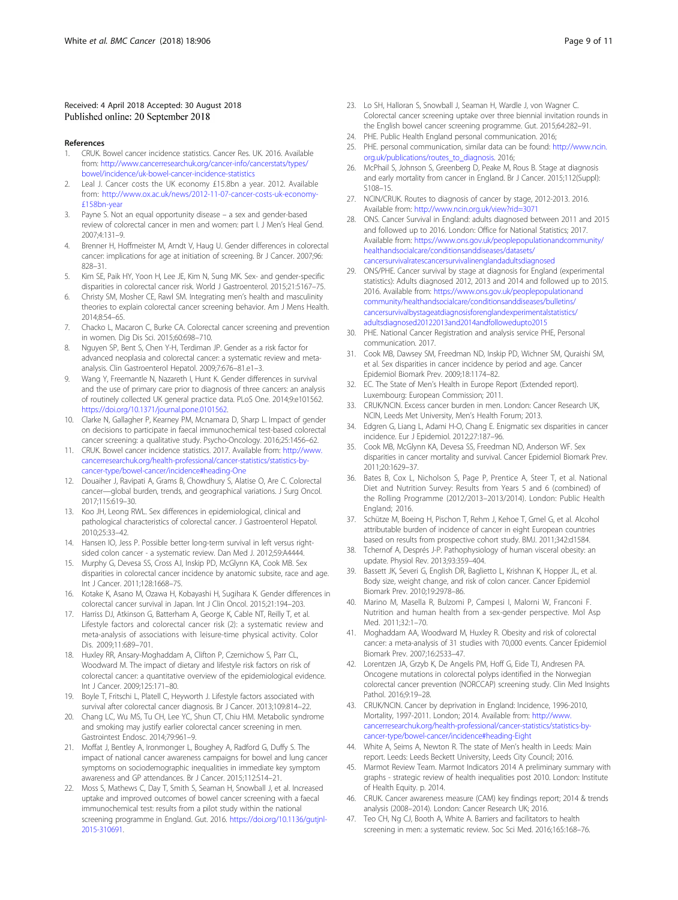#### <span id="page-8-0"></span>Received: 4 April 2018 Accepted: 30 August 2018 Published online: 20 September 2018

#### References

- 1. CRUK. Bowel cancer incidence statistics. Cancer Res. UK. 2016. Available from: [http://www.cancerresearchuk.org/cancer-info/cancerstats/types/](http://www.cancerresearchuk.org/cancer-info/cancerstats/types/bowel/incidence/uk-bowel-cancer-incidence-statistics) [bowel/incidence/uk-bowel-cancer-incidence-statistics](http://www.cancerresearchuk.org/cancer-info/cancerstats/types/bowel/incidence/uk-bowel-cancer-incidence-statistics)
- 2. Leal J. Cancer costs the UK economy £15.8bn a year. 2012. Available from: [http://www.ox.ac.uk/news/2012-11-07-cancer-costs-uk-economy-](http://www.ox.ac.uk/news/2012-11-07-cancer-costs-uk-economy-%C2%A3158bn-year) [£158bn-year](http://www.ox.ac.uk/news/2012-11-07-cancer-costs-uk-economy-%C2%A3158bn-year)
- 3. Payne S. Not an equal opportunity disease a sex and gender-based review of colorectal cancer in men and women: part I. J Men's Heal Gend. 2007;4:131–9.
- 4. Brenner H, Hoffmeister M, Arndt V, Haug U. Gender differences in colorectal cancer: implications for age at initiation of screening. Br J Cancer. 2007;96: 828–31.
- 5. Kim SE, Paik HY, Yoon H, Lee JE, Kim N, Sung MK. Sex- and gender-specific disparities in colorectal cancer risk. World J Gastroenterol. 2015;21:5167–75.
- 6. Christy SM, Mosher CE, Rawl SM. Integrating men's health and masculinity theories to explain colorectal cancer screening behavior. Am J Mens Health. 2014;8:54–65.
- 7. Chacko L, Macaron C, Burke CA. Colorectal cancer screening and prevention in women. Dig Dis Sci. 2015;60:698–710.
- 8. Nguyen SP, Bent S, Chen Y-H, Terdiman JP. Gender as a risk factor for advanced neoplasia and colorectal cancer: a systematic review and metaanalysis. Clin Gastroenterol Hepatol. 2009;7:676–81.e1–3.
- Wang Y, Freemantle N, Nazareth I, Hunt K. Gender differences in survival and the use of primary care prior to diagnosis of three cancers: an analysis of routinely collected UK general practice data. PLoS One. 2014;9:e101562. [https://doi.org/10.1371/journal.pone.0101562.](https://doi.org/10.1371/journal.pone.0101562)
- 10. Clarke N, Gallagher P, Kearney PM, Mcnamara D, Sharp L. Impact of gender on decisions to participate in faecal immunochemical test-based colorectal cancer screening: a qualitative study. Psycho-Oncology. 2016;25:1456–62.
- 11. CRUK. Bowel cancer incidence statistics. 2017. Available from: [http://www.](http://www.cancerresearchuk.org/health-professional/cancer-statistics/statistics-by-cancer-type/bowel-cancer/incidence#heading-One) [cancerresearchuk.org/health-professional/cancer-statistics/statistics-by](http://www.cancerresearchuk.org/health-professional/cancer-statistics/statistics-by-cancer-type/bowel-cancer/incidence#heading-One)[cancer-type/bowel-cancer/incidence#heading-One](http://www.cancerresearchuk.org/health-professional/cancer-statistics/statistics-by-cancer-type/bowel-cancer/incidence#heading-One)
- 12. Douaiher J, Ravipati A, Grams B, Chowdhury S, Alatise O, Are C. Colorectal cancer—global burden, trends, and geographical variations. J Surg Oncol. 2017;115:619–30.
- 13. Koo JH, Leong RWL. Sex differences in epidemiological, clinical and pathological characteristics of colorectal cancer. J Gastroenterol Hepatol. 2010;25:33–42.
- 14. Hansen IO, Jess P. Possible better long-term survival in left versus rightsided colon cancer - a systematic review. Dan Med J. 2012;59:A4444.
- 15. Murphy G, Devesa SS, Cross AJ, Inskip PD, McGlynn KA, Cook MB. Sex disparities in colorectal cancer incidence by anatomic subsite, race and age. Int J Cancer. 2011;128:1668–75.
- 16. Kotake K, Asano M, Ozawa H, Kobayashi H, Sugihara K. Gender differences in colorectal cancer survival in Japan. Int J Clin Oncol. 2015;21:194–203.
- 17. Harriss DJ, Atkinson G, Batterham A, George K, Cable NT, Reilly T, et al. Lifestyle factors and colorectal cancer risk (2): a systematic review and meta-analysis of associations with leisure-time physical activity. Color Dis. 2009;11:689–701.
- 18. Huxley RR, Ansary-Moghaddam A, Clifton P, Czernichow S, Parr CL, Woodward M. The impact of dietary and lifestyle risk factors on risk of colorectal cancer: a quantitative overview of the epidemiological evidence. Int J Cancer. 2009;125:171–80.
- 19. Boyle T, Fritschi L, Platell C, Heyworth J. Lifestyle factors associated with survival after colorectal cancer diagnosis. Br J Cancer. 2013;109:814–22.
- 20. Chang LC, Wu MS, Tu CH, Lee YC, Shun CT, Chiu HM. Metabolic syndrome and smoking may justify earlier colorectal cancer screening in men. Gastrointest Endosc. 2014;79:961–9.
- 21. Moffat J, Bentley A, Ironmonger L, Boughey A, Radford G, Duffy S. The impact of national cancer awareness campaigns for bowel and lung cancer symptoms on sociodemographic inequalities in immediate key symptom awareness and GP attendances. Br J Cancer. 2015;112:S14–21.
- 22. Moss S, Mathews C, Day T, Smith S, Seaman H, Snowball J, et al. Increased uptake and improved outcomes of bowel cancer screening with a faecal immunochemical test: results from a pilot study within the national screening programme in England. Gut. 2016. [https://doi.org/10.1136/gutjnl-](https://doi.org/10.1136/gutjnl-2015-310691)[2015-310691.](https://doi.org/10.1136/gutjnl-2015-310691)
- 23. Lo SH, Halloran S, Snowball J, Seaman H, Wardle J, von Wagner C. Colorectal cancer screening uptake over three biennial invitation rounds in the English bowel cancer screening programme. Gut. 2015;64:282–91.
- 24. PHE. Public Health England personal communication. 2016;
- 25. PHE. personal communication, similar data can be found: [http://www.ncin.](http://www.ncin.org.uk/publications/routes_to_diagnosis) [org.uk/publications/routes\\_to\\_diagnosis](http://www.ncin.org.uk/publications/routes_to_diagnosis). 2016;
- 26. McPhail S, Johnson S, Greenberg D, Peake M, Rous B. Stage at diagnosis and early mortality from cancer in England. Br J Cancer. 2015;112(Suppl): S108–15.
- 27. NCIN/CRUK. Routes to diagnosis of cancer by stage, 2012-2013. 2016. Available from: <http://www.ncin.org.uk/view?rid=3071>
- 28. ONS. Cancer Survival in England: adults diagnosed between 2011 and 2015 and followed up to 2016. London: Office for National Statistics; 2017. Available from: [https://www.ons.gov.uk/peoplepopulationandcommunity/](https://www.ons.gov.uk/peoplepopulationandcommunity/healthandsocialcare/conditionsanddiseases/datasets/cancersurvivalratescancersurvivalinenglandadultsdiagnosed) [healthandsocialcare/conditionsanddiseases/datasets/](https://www.ons.gov.uk/peoplepopulationandcommunity/healthandsocialcare/conditionsanddiseases/datasets/cancersurvivalratescancersurvivalinenglandadultsdiagnosed) [cancersurvivalratescancersurvivalinenglandadultsdiagnosed](https://www.ons.gov.uk/peoplepopulationandcommunity/healthandsocialcare/conditionsanddiseases/datasets/cancersurvivalratescancersurvivalinenglandadultsdiagnosed)
- 29. ONS/PHE. Cancer survival by stage at diagnosis for England (experimental statistics): Adults diagnosed 2012, 2013 and 2014 and followed up to 2015. 2016. Available from: [https://www.ons.gov.uk/peoplepopulationand](https://www.ons.gov.uk/peoplepopulationandcommunity/healthandsocialcare/conditionsanddiseases/bulletins/cancersurvivalbystageatdiagnosisforenglandexperimentalstatistics/adultsdiagnosed20122013and2014andfollowedupto2015) [community/healthandsocialcare/conditionsanddiseases/bulletins/](https://www.ons.gov.uk/peoplepopulationandcommunity/healthandsocialcare/conditionsanddiseases/bulletins/cancersurvivalbystageatdiagnosisforenglandexperimentalstatistics/adultsdiagnosed20122013and2014andfollowedupto2015) [cancersurvivalbystageatdiagnosisforenglandexperimentalstatistics/](https://www.ons.gov.uk/peoplepopulationandcommunity/healthandsocialcare/conditionsanddiseases/bulletins/cancersurvivalbystageatdiagnosisforenglandexperimentalstatistics/adultsdiagnosed20122013and2014andfollowedupto2015) [adultsdiagnosed20122013and2014andfollowedupto2015](https://www.ons.gov.uk/peoplepopulationandcommunity/healthandsocialcare/conditionsanddiseases/bulletins/cancersurvivalbystageatdiagnosisforenglandexperimentalstatistics/adultsdiagnosed20122013and2014andfollowedupto2015)
- 30. PHE. National Cancer Registration and analysis service PHE, Personal communication. 2017.
- 31. Cook MB, Dawsey SM, Freedman ND, Inskip PD, Wichner SM, Quraishi SM, et al. Sex disparities in cancer incidence by period and age. Cancer Epidemiol Biomark Prev. 2009;18:1174–82.
- 32. EC. The State of Men's Health in Europe Report (Extended report). Luxembourg: European Commission; 2011.
- 33. CRUK/NCIN. Excess cancer burden in men. London: Cancer Research UK, NCIN, Leeds Met University, Men's Health Forum; 2013.
- 34. Edgren G, Liang L, Adami H-O, Chang E. Enigmatic sex disparities in cancer incidence. Eur J Epidemiol. 2012;27:187–96.
- 35. Cook MB, McGlynn KA, Devesa SS, Freedman ND, Anderson WF. Sex disparities in cancer mortality and survival. Cancer Epidemiol Biomark Prev. 2011;20:1629–37.
- 36. Bates B, Cox L, Nicholson S, Page P, Prentice A, Steer T, et al. National Diet and Nutrition Survey: Results from Years 5 and 6 (combined) of the Rolling Programme (2012/2013–2013/2014). London: Public Health England; 2016.
- 37. Schütze M, Boeing H, Pischon T, Rehm J, Kehoe T, Gmel G, et al. Alcohol attributable burden of incidence of cancer in eight European countries based on results from prospective cohort study. BMJ. 2011;342:d1584.
- 38. Tchernof A, Després J-P. Pathophysiology of human visceral obesity: an update. Physiol Rev. 2013;93:359–404.
- 39. Bassett JK, Severi G, English DR, Baglietto L, Krishnan K, Hopper JL, et al. Body size, weight change, and risk of colon cancer. Cancer Epidemiol Biomark Prev. 2010;19:2978–86.
- 40. Marino M, Masella R, Bulzomi P, Campesi I, Malorni W, Franconi F. Nutrition and human health from a sex-gender perspective. Mol Asp Med. 2011;32:1–70.
- 41. Moghaddam AA, Woodward M, Huxley R. Obesity and risk of colorectal cancer: a meta-analysis of 31 studies with 70,000 events. Cancer Epidemiol Biomark Prev. 2007;16:2533–47.
- 42. Lorentzen JA, Grzyb K, De Angelis PM, Hoff G, Eide TJ, Andresen PA. Oncogene mutations in colorectal polyps identified in the Norwegian colorectal cancer prevention (NORCCAP) screening study. Clin Med Insights Pathol. 2016;9:19–28.
- 43. CRUK/NCIN. Cancer by deprivation in England: Incidence, 1996-2010, Mortality, 1997-2011. London; 2014. Available from: [http://www.](http://www.cancerresearchuk.org/health-professional/cancer-statistics/statistics-by-cancer-type/bowel-cancer/incidence#heading-Eight) [cancerresearchuk.org/health-professional/cancer-statistics/statistics-by](http://www.cancerresearchuk.org/health-professional/cancer-statistics/statistics-by-cancer-type/bowel-cancer/incidence#heading-Eight)[cancer-type/bowel-cancer/incidence#heading-Eight](http://www.cancerresearchuk.org/health-professional/cancer-statistics/statistics-by-cancer-type/bowel-cancer/incidence#heading-Eight)
- 44. White A, Seims A, Newton R. The state of Men's health in Leeds: Main report. Leeds: Leeds Beckett University, Leeds City Council; 2016.
- 45. Marmot Review Team. Marmot Indicators 2014 A preliminary summary with graphs - strategic review of health inequalities post 2010. London: Institute of Health Equity. p. 2014.
- 46. CRUK. Cancer awareness measure (CAM) key findings report; 2014 & trends analysis (2008–2014). London: Cancer Research UK; 2016.
- 47. Teo CH, Ng CJ, Booth A, White A. Barriers and facilitators to health screening in men: a systematic review. Soc Sci Med. 2016;165:168–76.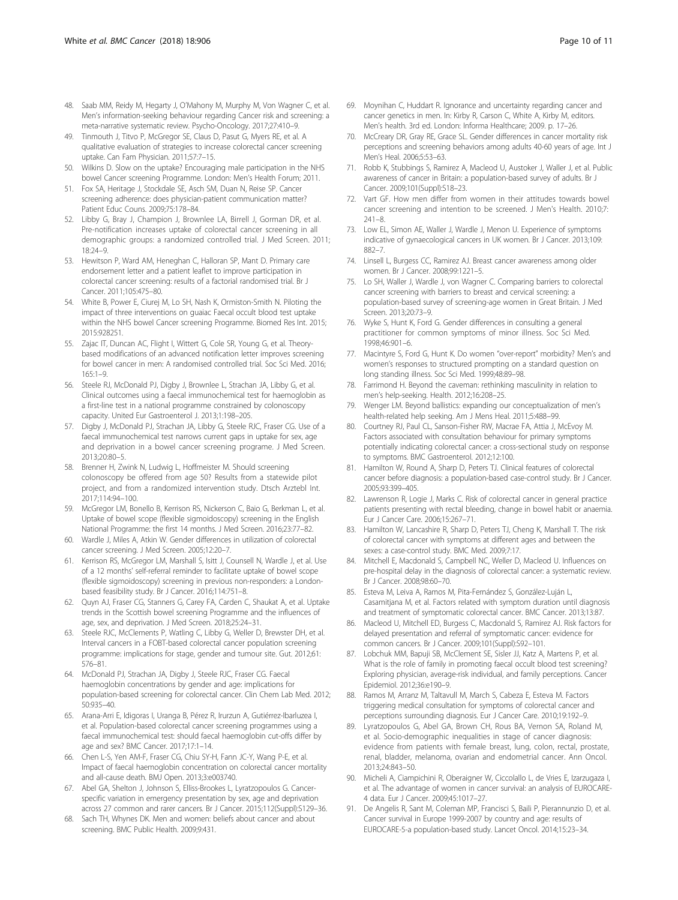- <span id="page-9-0"></span>48. Saab MM, Reidy M, Hegarty J, O'Mahony M, Murphy M, Von Wagner C, et al. Men's information-seeking behaviour regarding Cancer risk and screening: a meta-narrative systematic review. Psycho-Oncology. 2017;27:410–9.
- 49. Tinmouth J, Titvo P, McGregor SE, Claus D, Pasut G, Myers RE, et al. A qualitative evaluation of strategies to increase colorectal cancer screening uptake. Can Fam Physician. 2011;57:7–15.
- 50. Wilkins D. Slow on the uptake? Encouraging male participation in the NHS bowel Cancer screening Programme. London: Men's Health Forum; 2011.
- 51. Fox SA, Heritage J, Stockdale SE, Asch SM, Duan N, Reise SP. Cancer screening adherence: does physician-patient communication matter? Patient Educ Couns. 2009;75:178–84.
- 52. Libby G, Bray J, Champion J, Brownlee LA, Birrell J, Gorman DR, et al. Pre-notification increases uptake of colorectal cancer screening in all demographic groups: a randomized controlled trial. J Med Screen. 2011; 18:24–9.
- 53. Hewitson P, Ward AM, Heneghan C, Halloran SP, Mant D. Primary care endorsement letter and a patient leaflet to improve participation in colorectal cancer screening: results of a factorial randomised trial. Br J Cancer. 2011;105:475–80.
- 54. White B, Power E, Ciurej M, Lo SH, Nash K, Ormiston-Smith N. Piloting the impact of three interventions on guaiac Faecal occult blood test uptake within the NHS bowel Cancer screening Programme. Biomed Res Int. 2015; 2015:928251.
- 55. Zajac IT, Duncan AC, Flight I, Wittert G, Cole SR, Young G, et al. Theorybased modifications of an advanced notification letter improves screening for bowel cancer in men: A randomised controlled trial. Soc Sci Med. 2016; 165:1–9.
- 56. Steele RJ, McDonald PJ, Digby J, Brownlee L, Strachan JA, Libby G, et al. Clinical outcomes using a faecal immunochemical test for haemoglobin as a first-line test in a national programme constrained by colonoscopy capacity. United Eur Gastroenterol J. 2013;1:198–205.
- 57. Digby J, McDonald PJ, Strachan JA, Libby G, Steele RJC, Fraser CG. Use of a faecal immunochemical test narrows current gaps in uptake for sex, age and deprivation in a bowel cancer screening programe. J Med Screen. 2013;20:80–5.
- 58. Brenner H, Zwink N, Ludwig L, Hoffmeister M. Should screening colonoscopy be offered from age 50? Results from a statewide pilot project, and from a randomized intervention study. Dtsch Arztebl Int. 2017;114:94–100.
- 59. McGregor LM, Bonello B, Kerrison RS, Nickerson C, Baio G, Berkman L, et al. Uptake of bowel scope (flexible sigmoidoscopy) screening in the English National Programme: the first 14 months. J Med Screen. 2016;23:77–82.
- 60. Wardle J, Miles A, Atkin W. Gender differences in utilization of colorectal cancer screening. J Med Screen. 2005;12:20–7.
- 61. Kerrison RS, McGregor LM, Marshall S, Isitt J, Counsell N, Wardle J, et al. Use of a 12 months' self-referral reminder to facilitate uptake of bowel scope (flexible sigmoidoscopy) screening in previous non-responders: a Londonbased feasibility study. Br J Cancer. 2016;114:751–8.
- 62. Quyn AJ, Fraser CG, Stanners G, Carey FA, Carden C, Shaukat A, et al. Uptake trends in the Scottish bowel screening Programme and the influences of age, sex, and deprivation. J Med Screen. 2018;25:24–31.
- 63. Steele RJC, McClements P, Watling C, Libby G, Weller D, Brewster DH, et al. Interval cancers in a FOBT-based colorectal cancer population screening programme: implications for stage, gender and tumour site. Gut. 2012;61: 576–81.
- 64. McDonald PJ, Strachan JA, Digby J, Steele RJC, Fraser CG. Faecal haemoglobin concentrations by gender and age: implications for population-based screening for colorectal cancer. Clin Chem Lab Med. 2012; 50:935–40.
- 65. Arana-Arri E, Idigoras I, Uranga B, Pérez R, Irurzun A, Gutiérrez-Ibarluzea I, et al. Population-based colorectal cancer screening programmes using a faecal immunochemical test: should faecal haemoglobin cut-offs differ by age and sex? BMC Cancer. 2017;17:1–14.
- 66. Chen L-S, Yen AM-F, Fraser CG, Chiu SY-H, Fann JC-Y, Wang P-E, et al. Impact of faecal haemoglobin concentration on colorectal cancer mortality and all-cause death. BMJ Open. 2013;3:e003740.
- 67. Abel GA, Shelton J, Johnson S, Elliss-Brookes L, Lyratzopoulos G. Cancerspecific variation in emergency presentation by sex, age and deprivation across 27 common and rarer cancers. Br J Cancer. 2015;112(Suppl):S129–36.
- 68. Sach TH, Whynes DK. Men and women: beliefs about cancer and about screening. BMC Public Health. 2009;9:431.
- 69. Moynihan C, Huddart R. Ignorance and uncertainty regarding cancer and cancer genetics in men. In: Kirby R, Carson C, White A, Kirby M, editors. Men's health. 3rd ed. London: Informa Healthcare; 2009. p. 17–26.
- 70. McCreary DR, Gray RE, Grace SL. Gender differences in cancer mortality risk perceptions and screening behaviors among adults 40-60 years of age. Int J Men's Heal. 2006;5:53–63.
- 71. Robb K, Stubbings S, Ramirez A, Macleod U, Austoker J, Waller J, et al. Public awareness of cancer in Britain: a population-based survey of adults. Br J Cancer. 2009;101(Suppl):S18–23.
- 72. Vart GF. How men differ from women in their attitudes towards bowel cancer screening and intention to be screened. J Men's Health. 2010;7: 241–8.
- 73. Low EL, Simon AE, Waller J, Wardle J, Menon U. Experience of symptoms indicative of gynaecological cancers in UK women. Br J Cancer. 2013;109: 882–7.
- 74. Linsell L, Burgess CC, Ramirez AJ. Breast cancer awareness among older women. Br J Cancer. 2008;99:1221–5.
- 75. Lo SH, Waller J, Wardle J, von Wagner C. Comparing barriers to colorectal cancer screening with barriers to breast and cervical screening: a population-based survey of screening-age women in Great Britain. J Med Screen. 2013;20:73–9.
- 76. Wyke S, Hunt K, Ford G. Gender differences in consulting a general practitioner for common symptoms of minor illness. Soc Sci Med. 1998;46:901–6.
- 77. Macintyre S, Ford G, Hunt K. Do women "over-report" morbidity? Men's and women's responses to structured prompting on a standard question on long standing illness. Soc Sci Med. 1999;48:89–98.
- 78. Farrimond H. Beyond the caveman: rethinking masculinity in relation to men's help-seeking. Health. 2012;16:208–25.
- 79. Wenger LM. Beyond ballistics: expanding our conceptualization of men's health-related help seeking. Am J Mens Heal. 2011;5:488–99.
- 80. Courtney RJ, Paul CL, Sanson-Fisher RW, Macrae FA, Attia J, McEvoy M. Factors associated with consultation behaviour for primary symptoms potentially indicating colorectal cancer: a cross-sectional study on response to symptoms. BMC Gastroenterol. 2012;12:100.
- 81. Hamilton W, Round A, Sharp D, Peters TJ. Clinical features of colorectal cancer before diagnosis: a population-based case-control study. Br J Cancer. 2005;93:399–405.
- 82. Lawrenson R, Logie J, Marks C. Risk of colorectal cancer in general practice patients presenting with rectal bleeding, change in bowel habit or anaemia. Eur J Cancer Care. 2006;15:267–71.
- 83. Hamilton W, Lancashire R, Sharp D, Peters TJ, Cheng K, Marshall T. The risk of colorectal cancer with symptoms at different ages and between the sexes: a case-control study. BMC Med. 2009;7:17.
- 84. Mitchell E, Macdonald S, Campbell NC, Weller D, Macleod U. Influences on pre-hospital delay in the diagnosis of colorectal cancer: a systematic review. Br J Cancer. 2008;98:60–70.
- 85. Esteva M, Leiva A, Ramos M, Pita-Fernández S, González-Luján L, Casamitjana M, et al. Factors related with symptom duration until diagnosis and treatment of symptomatic colorectal cancer. BMC Cancer. 2013;13:87.
- 86. Macleod U, Mitchell ED, Burgess C, Macdonald S, Ramirez AJ. Risk factors for delayed presentation and referral of symptomatic cancer: evidence for common cancers. Br J Cancer. 2009;101(Suppl):S92–101.
- 87. Lobchuk MM, Bapuji SB, McClement SE, Sisler JJ, Katz A, Martens P, et al. What is the role of family in promoting faecal occult blood test screening? Exploring physician, average-risk individual, and family perceptions. Cancer Epidemiol. 2012;36:e190–9.
- 88. Ramos M, Arranz M, Taltavull M, March S, Cabeza E, Esteva M. Factors triggering medical consultation for symptoms of colorectal cancer and perceptions surrounding diagnosis. Eur J Cancer Care. 2010;19:192–9.
- 89. Lyratzopoulos G, Abel GA, Brown CH, Rous BA, Vernon SA, Roland M, et al. Socio-demographic inequalities in stage of cancer diagnosis: evidence from patients with female breast, lung, colon, rectal, prostate, renal, bladder, melanoma, ovarian and endometrial cancer. Ann Oncol. 2013;24:843–50.
- 90. Micheli A, Ciampichini R, Oberaigner W, Ciccolallo L, de Vries E, Izarzugaza I, et al. The advantage of women in cancer survival: an analysis of EUROCARE-4 data. Eur J Cancer. 2009;45:1017–27.
- 91. De Angelis R, Sant M, Coleman MP, Francisci S, Baili P, Pierannunzio D, et al. Cancer survival in Europe 1999-2007 by country and age: results of EUROCARE-5-a population-based study. Lancet Oncol. 2014;15:23–34.